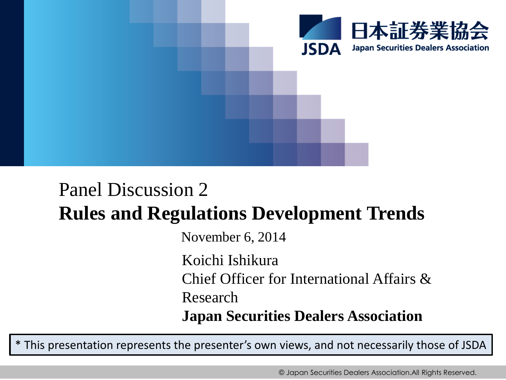

## Panel Discussion 2 **Rules and Regulations Development Trends**

November 6, 2014

Koichi Ishikura Chief Officer for International Affairs & Research

**Japan Securities Dealers Association**

\* This presentation represents the presenter's own views, and not necessarily those of JSDA

© Japan Securities Dealers Association.All Rights Reserved.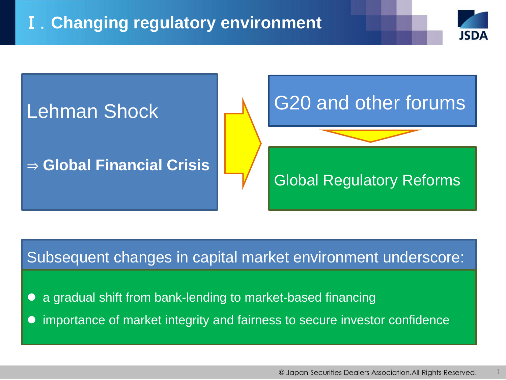

## Subsequent changes in capital market environment underscore:

a gradual shift from bank-lending to market-based financing

importance of market integrity and fairness to secure investor confidence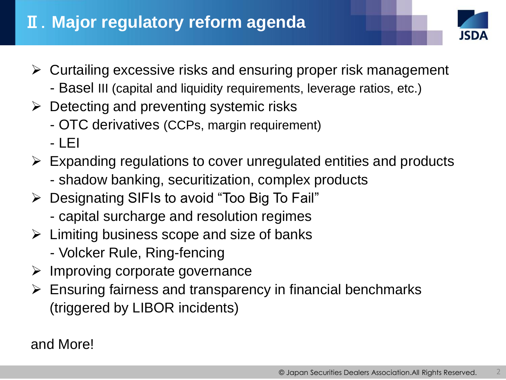## Ⅱ.**Major regulatory reform agenda**



- $\triangleright$  Curtailing excessive risks and ensuring proper risk management
	- Basel III (capital and liquidity requirements, leverage ratios, etc.)
- $\triangleright$  Detecting and preventing systemic risks
	- OTC derivatives (CCPs, margin requirement)
	- $-1$  FI
- $\triangleright$  Expanding regulations to cover unregulated entities and products
	- shadow banking, securitization, complex products
- Designating SIFIs to avoid "Too Big To Fail"
	- capital surcharge and resolution regimes
- $\triangleright$  Limiting business scope and size of banks
	- Volcker Rule, Ring-fencing
- $\triangleright$  Improving corporate governance
- $\triangleright$  Ensuring fairness and transparency in financial benchmarks (triggered by LIBOR incidents)

and More!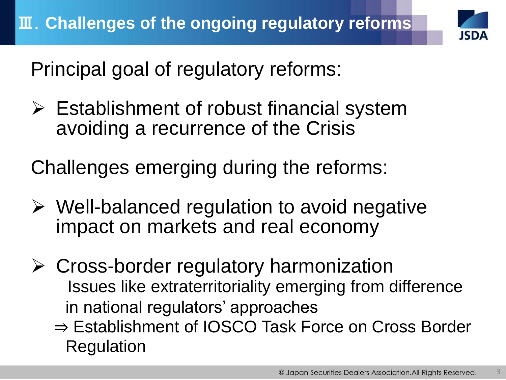

Principal goal of regulatory reforms:

 Establishment of robust financial system avoiding a recurrence of the Crisis

Challenges emerging during the reforms:

- $\triangleright$  Well-balanced regulation to avoid negative impact on markets and real economy
- Cross-border regulatory harmonization Issues like extraterritoriality emerging from difference in national regulators' approaches
	- ⇒ Establishment of IOSCO Task Force on Cross Border Regulation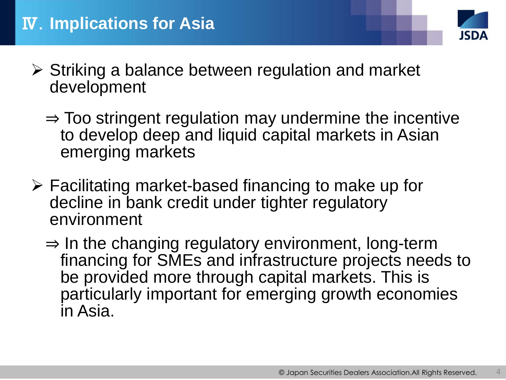

- $\triangleright$  Striking a balance between regulation and market development
	- $\Rightarrow$  Too stringent regulation may undermine the incentive to develop deep and liquid capital markets in Asian emerging markets
- $\triangleright$  Facilitating market-based financing to make up for decline in bank credit under tighter regulatory environment
	- $\Rightarrow$  In the changing regulatory environment, long-term financing for SMEs and infrastructure projects needs to be provided more through capital markets. This is particularly important for emerging growth economies in Asia.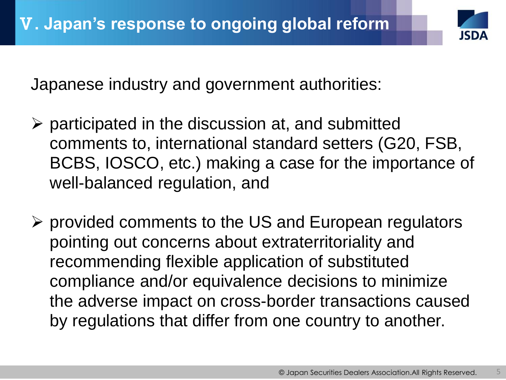

Japanese industry and government authorities:

- $\triangleright$  participated in the discussion at, and submitted comments to, international standard setters (G20, FSB, BCBS, IOSCO, etc.) making a case for the importance of well-balanced regulation, and
- $\triangleright$  provided comments to the US and European regulators pointing out concerns about extraterritoriality and recommending flexible application of substituted compliance and/or equivalence decisions to minimize the adverse impact on cross-border transactions caused by regulations that differ from one country to another.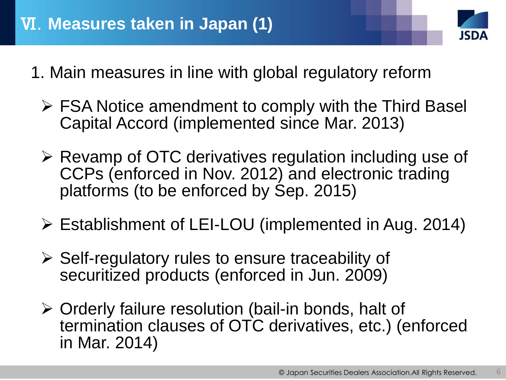

- 1. Main measures in line with global regulatory reform
	- $\triangleright$  FSA Notice amendment to comply with the Third Basel Capital Accord (implemented since Mar. 2013)
	- Revamp of OTC derivatives regulation including use of CCPs (enforced in Nov. 2012) and electronic trading platforms (to be enforced by Sep. 2015)
	- Establishment of LEI-LOU (implemented in Aug. 2014)
	- $\triangleright$  Self-regulatory rules to ensure traceability of securitized products (enforced in Jun. 2009)
	- Orderly failure resolution (bail-in bonds, halt of termination clauses of OTC derivatives, etc.) (enforced in Mar. 2014)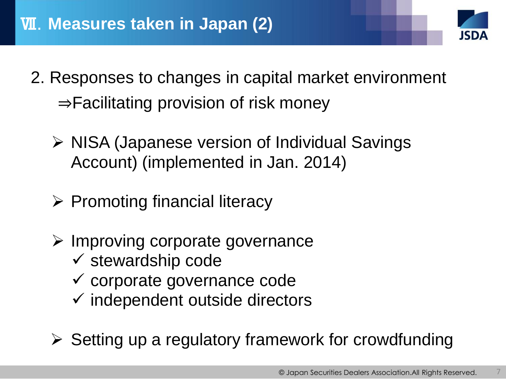

- 2. Responses to changes in capital market environment ⇒Facilitating provision of risk money
	- $\triangleright$  NISA (Japanese version of Individual Savings Account) (implemented in Jan. 2014)
	- $\triangleright$  Promoting financial literacy
	- $\triangleright$  Improving corporate governance
		- $\checkmark$  stewardship code
		- $\checkmark$  corporate governance code
		- $\checkmark$  independent outside directors
	- $\triangleright$  Setting up a regulatory framework for crowdfunding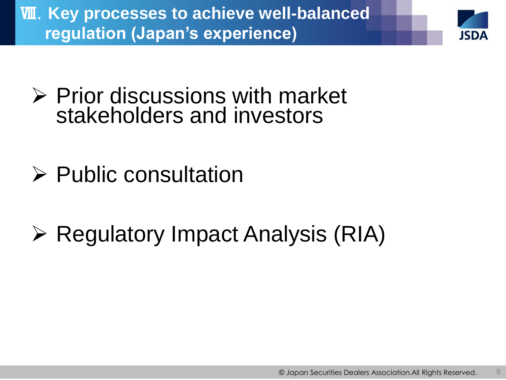Ⅷ.**Key processes to achieve well-balanced regulation (Japan's experience)** 



- $\triangleright$  Prior discussions with market stakeholders and investors
- $\triangleright$  Public consultation
- **≻ Regulatory Impact Analysis (RIA)**